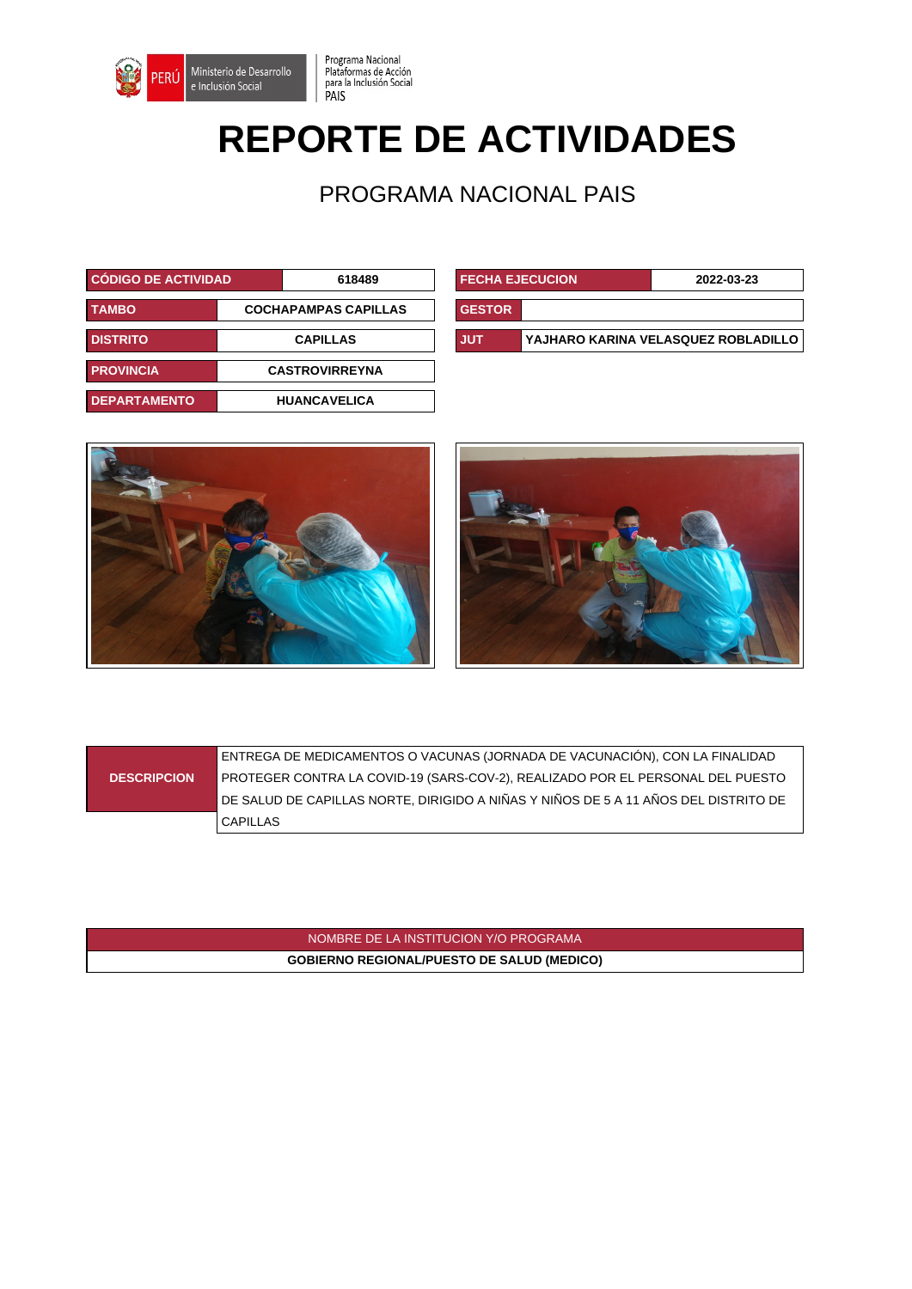

## **REPORTE DE ACTIVIDADES**

Programa Nacional<br>Plataformas de Acción<br>para la Inclusión Social<br>PAIS

PROGRAMA NACIONAL PAIS

| <b>CÓDIGO DE ACTIVIDAD</b>                  |                 | 618489                | <b>FECHA EJECUCION</b> |  | 2022-03-23                          |
|---------------------------------------------|-----------------|-----------------------|------------------------|--|-------------------------------------|
| <b>TAMBO</b><br><b>COCHAPAMPAS CAPILLAS</b> |                 | <b>GESTOR</b>         |                        |  |                                     |
| <b>DISTRITO</b>                             | <b>CAPILLAS</b> |                       | <b>JUT</b>             |  | YAJHARO KARINA VELASQUEZ ROBLADILLO |
| <b>PROVINCIA</b>                            |                 | <b>CASTROVIRREYNA</b> |                        |  |                                     |
| <b>DEPARTAMENTO</b>                         |                 | <b>HUANCAVELICA</b>   |                        |  |                                     |

| <b>FECHA EJECUCION</b> |                                     | 2022-03-23 |  |  |
|------------------------|-------------------------------------|------------|--|--|
| <b>GESTOR</b>          |                                     |            |  |  |
| <b>JUT</b>             | YAJHARO KARINA VELASQUEZ ROBLADILLO |            |  |  |





|                    | ENTREGA DE MEDICAMENTOS O VACUNAS (JORNADA DE VACUNACIÓN), CON LA FINALIDAD         |
|--------------------|-------------------------------------------------------------------------------------|
| <b>DESCRIPCION</b> | PROTEGER CONTRA LA COVID-19 (SARS-COV-2), REALIZADO POR EL PERSONAL DEL PUESTO      |
|                    | DE SALUD DE CAPILLAS NORTE, DIRIGIDO A NIÑAS Y NIÑOS DE 5 A 11 AÑOS DEL DISTRITO DE |
|                    | <b>CAPILLAS</b>                                                                     |

NOMBRE DE LA INSTITUCION Y/O PROGRAMA **GOBIERNO REGIONAL/PUESTO DE SALUD (MEDICO)**